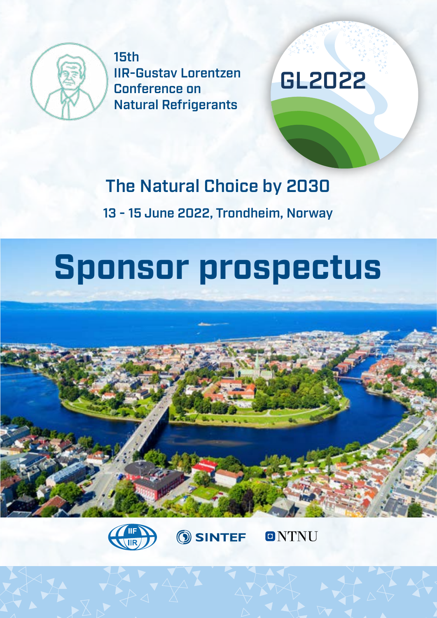

15th IIR-Gustav Lorentzen Conference on Natural Refrigerants

## GL2022

## The Natural Choice by 2030

13 - 15 June 2022, Trondheim, Norway

# **Sponsor prospectus**





**SINTEF** 

**ONTNU**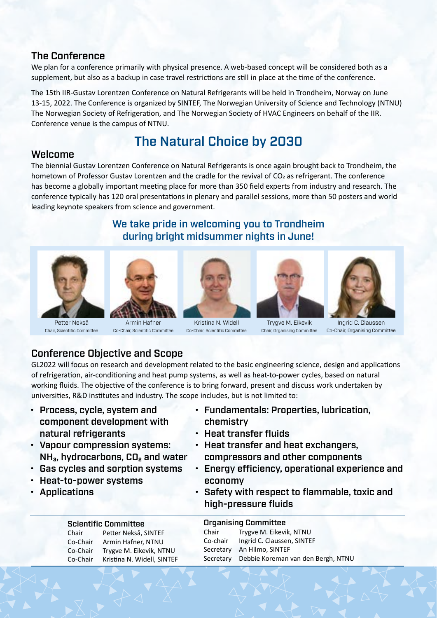#### The Conference

We plan for a conference primarily with physical presence. A web-based concept will be considered both as a supplement, but also as a backup in case travel restrictions are still in place at the time of the conference.

The 15th IIR-Gustav Lorentzen Conference on Natural Refrigerants will be held in Trondheim, Norway on June 13-15, 2022. The Conference is organized by SINTEF, The Norwegian University of Science and Technology (NTNU) The Norwegian Society of Refrigeration, and The Norwegian Society of HVAC Engineers on behalf of the IIR. Conference venue is the campus of NTNU.

## The Natural Choice by 2030

#### Welcome

The biennial Gustav Lorentzen Conference on Natural Refrigerants is once again brought back to Trondheim, the hometown of Professor Gustav Lorentzen and the cradle for the revival of  $CO<sub>2</sub>$  as refrigerant. The conference has become a globally important meeting place for more than 350 field experts from industry and research. The conference typically has 120 oral presentations in plenary and parallel sessions, more than 50 posters and world leading keynote speakers from science and government.

#### We take pride in welcoming you to Trondheim during bright midsummer nights in June!



Petter Nekså Chair, Scientific Committee



Armin Hafner Co-Chair, Scientific Committee



Kristina N. Widell Co-Chair, Scientific Committee



Trygve M. Eikevik Chair, Organising Committee



Ingrid C. Claussen Co-Chair, Organising Committee

#### Conference Objective and Scope

GL2022 will focus on research and development related to the basic engineering science, design and applications of refrigeration, air-conditioning and heat pump systems, as well as heat-to-power cycles, based on natural working fluids. The objective of the conference is to bring forward, present and discuss work undertaken by universities, R&D institutes and industry. The scope includes, but is not limited to:

• Process, cycle, system and component development with natural refrigerants

• Vapour compression systems:

• Heat-to-power systems

• Applications

NH<sub>3</sub>, hydrocarbons, CO<sub>2</sub> and water • Gas cycles and sorption systems

- Fundamentals: Properties, lubrication, chemistry
- Heat transfer fluids
- Heat transfer and heat exchangers, compressors and other components
- Energy efficiency, operational experience and economy
- Safety with respect to flammable, toxic and high-pressure fluids

|          | <b>Scientific Committee</b> |           | <b>Organising Committee</b>        |  |
|----------|-----------------------------|-----------|------------------------------------|--|
| Chair    | Petter Nekså, SINTEF        | Chair     | Trygve M. Eikevik, NTNU            |  |
| Co-Chair | Armin Hafner, NTNU          | Co-chair  | Ingrid C. Claussen, SINTEF         |  |
| Co-Chair | Trygve M. Eikevik, NTNU     | Secretary | An Hilmo, SINTEF                   |  |
| Co-Chair | Kristina N. Widell, SINTEF  | Secretary | Debbie Koreman van den Bergh, NTNU |  |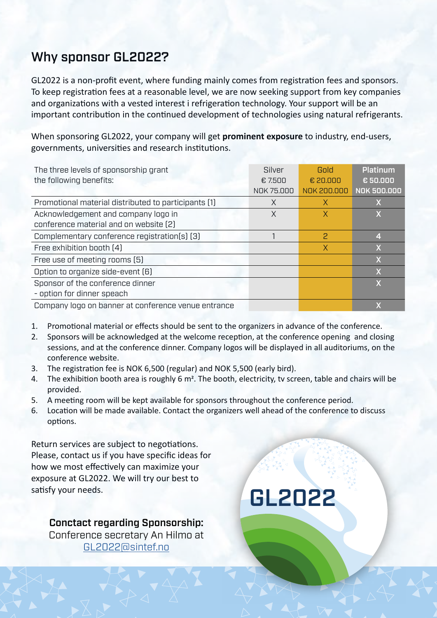## Why sponsor GL2022?

GL2022 is a non-profit event, where funding mainly comes from registration fees and sponsors. To keep registration fees at a reasonable level, we are now seeking support from key companies and organizations with a vested interest i refrigeration technology. Your support will be an important contribution in the continued development of technologies using natural refrigerants.

When sponsoring GL2022, your company will get **prominent exposure** to industry, end-users, governments, universities and research institutions.

| The three levels of sponsorship grant                | Silver     | Gold           | Platinum                |
|------------------------------------------------------|------------|----------------|-------------------------|
| the following benefits:                              | € 7.500    | € 20.000       | € 50.000                |
|                                                      | NOK 75.000 | NOK 200.000    | <b>NOK 500.000</b>      |
| Promotional material distributed to participants (1) | X          | X              |                         |
| Acknowledgement and company logo in                  | X          | X              | X                       |
| conference material and on website [2]               |            |                |                         |
| Complementary conference registration(s) (3)         |            | 2              | 41,                     |
| Free exhibition booth [4]                            |            | $\overline{X}$ |                         |
| Free use of meeting rooms (5)                        |            |                | $\overline{\mathsf{X}}$ |
| Option to organize side-event [6]                    |            |                | $\overline{\mathsf{X}}$ |
| Sponsor of the conference dinner                     |            |                | $\overline{\mathsf{X}}$ |
| - option for dinner speach                           |            |                |                         |
| Company logo on banner at conference venue entrance  |            |                |                         |

- 1. Promotional material or effects should be sent to the organizers in advance of the conference.
- 2. Sponsors will be acknowledged at the welcome reception, at the conference opening and closing sessions, and at the conference dinner. Company logos will be displayed in all auditoriums, on the conference website.
- 3. The registration fee is NOK 6,500 (regular) and NOK 5,500 (early bird).
- 4. The exhibition booth area is roughly 6 m<sup>2</sup>. The booth, electricity, tv screen, table and chairs will be provided.
- 5. A meeting room will be kept available for sponsors throughout the conference period.
- 6. Location will be made available. Contact the organizers well ahead of the conference to discuss options.

Return services are subject to negotiations. Please, contact us if you have specific ideas for how we most effectively can maximize your exposure at GL2022. We will try our best to satisfy your needs.

Conctact regarding Sponsorship: Conference secretary An Hilmo at [GL2022@sintef.no](mailto:GL2202%40sintef.no?subject=)